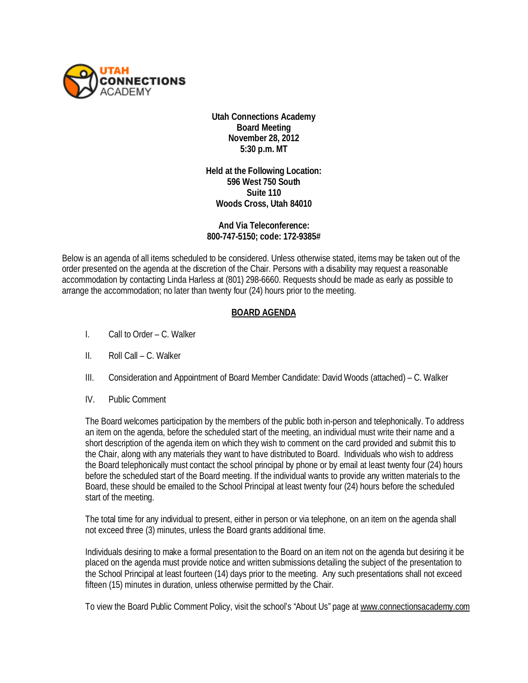

**Utah Connections Academy Board Meeting November 28, 2012 5:30 p.m. MT**

**Held at the Following Location: 596 West 750 South Suite 110 Woods Cross, Utah 84010**

**And Via Teleconference: 800-747-5150; code: 172-9385#** 

Below is an agenda of all items scheduled to be considered. Unless otherwise stated, items may be taken out of the order presented on the agenda at the discretion of the Chair. Persons with a disability may request a reasonable accommodation by contacting Linda Harless at (801) 298-6660. Requests should be made as early as possible to arrange the accommodation; no later than twenty four (24) hours prior to the meeting.

## **BOARD AGENDA**

- I. Call to Order C. Walker
- II. Roll Call C. Walker
- III. Consideration and Appointment of Board Member Candidate: David Woods (attached) C. Walker
- IV. Public Comment

The Board welcomes participation by the members of the public both in-person and telephonically. To address an item on the agenda, before the scheduled start of the meeting, an individual must write their name and a short description of the agenda item on which they wish to comment on the card provided and submit this to the Chair, along with any materials they want to have distributed to Board. Individuals who wish to address the Board telephonically must contact the school principal by phone or by email at least twenty four (24) hours before the scheduled start of the Board meeting. If the individual wants to provide any written materials to the Board, these should be emailed to the School Principal at least twenty four (24) hours before the scheduled start of the meeting.

The total time for any individual to present, either in person or via telephone, on an item on the agenda shall not exceed three (3) minutes, unless the Board grants additional time.

Individuals desiring to make a formal presentation to the Board on an item not on the agenda but desiring it be placed on the agenda must provide notice and written submissions detailing the subject of the presentation to the School Principal at least fourteen (14) days prior to the meeting. Any such presentations shall not exceed fifteen (15) minutes in duration, unless otherwise permitted by the Chair.

To view the Board Public Comment Policy, visit the school's "About Us" page at [www.connectionsacademy.com](http://www.connectionsacademy.com/)